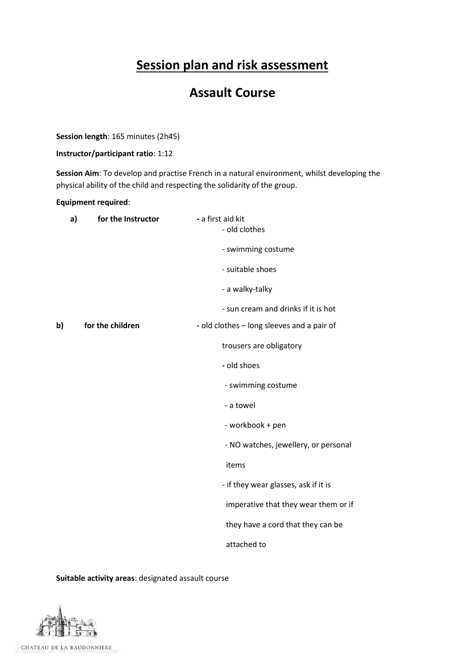# **Session plan and risk assessment**

# **Assault Course**

**Session length**: 165 minutes (2h45)

## **Instructor/participant ratio**: 1:12

**Session Aim**: To develop and practise French in a natural environment, whilst developing the physical ability of the child and respecting the solidarity of the group.

## **Equipment required**:

|    | a)<br>for the Instructor | - a first aid kit<br>- old clothes         |
|----|--------------------------|--------------------------------------------|
|    |                          | - swimming costume                         |
|    |                          | - suitable shoes                           |
|    |                          | - a walky-talky                            |
|    |                          | - sun cream and drinks if it is hot        |
| b) | for the children         | - old clothes - long sleeves and a pair of |
|    |                          | trousers are obligatory                    |
|    |                          | - old shoes                                |
|    |                          | - swimming costume                         |
|    |                          | - a towel                                  |
|    |                          | - workbook + pen                           |
|    |                          | - NO watches, jewellery, or personal       |
|    |                          | items                                      |
|    |                          | - if they wear glasses, ask if it is       |
|    |                          | imperative that they wear them or if       |
|    |                          | they have a cord that they can be          |
|    |                          | attached to                                |

**Suitable activity areas**: designated assault course

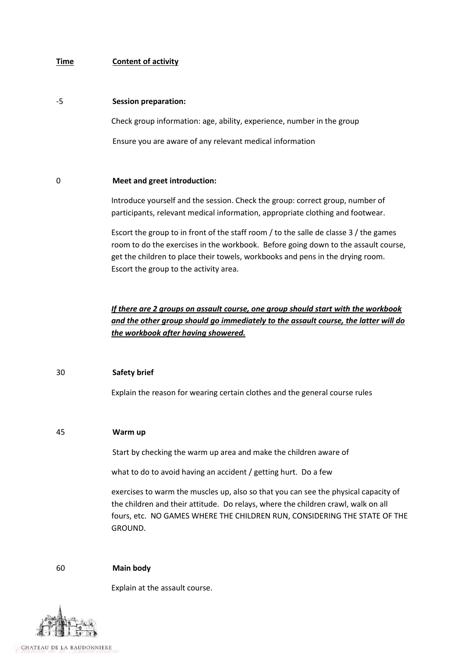## **Time Content of activity**

#### -5 **Session preparation:**

Check group information: age, ability, experience, number in the group

Ensure you are aware of any relevant medical information

## 0 **Meet and greet introduction:**

Introduce yourself and the session. Check the group: correct group, number of participants, relevant medical information, appropriate clothing and footwear.

Escort the group to in front of the staff room / to the salle de classe 3 / the games room to do the exercises in the workbook. Before going down to the assault course, get the children to place their towels, workbooks and pens in the drying room. Escort the group to the activity area.

*If there are 2 groups on assault course, one group should start with the workbook and the other group should go immediately to the assault course, the latter will do the workbook after having showered.*

# 30 **Safety brief**

Explain the reason for wearing certain clothes and the general course rules

## 45 **Warm up**

Start by checking the warm up area and make the children aware of

what to do to avoid having an accident / getting hurt. Do a few

exercises to warm the muscles up, also so that you can see the physical capacity of the children and their attitude. Do relays, where the children crawl, walk on all fours, etc. NO GAMES WHERE THE CHILDREN RUN, CONSIDERING THE STATE OF THE GROUND.

## 60 **Main body**

Explain at the assault course.

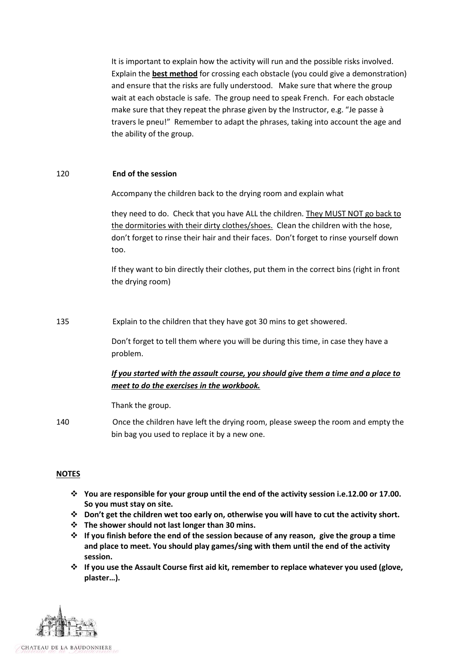It is important to explain how the activity will run and the possible risks involved. Explain the **best method** for crossing each obstacle (you could give a demonstration) and ensure that the risks are fully understood. Make sure that where the group wait at each obstacle is safe. The group need to speak French. For each obstacle make sure that they repeat the phrase given by the Instructor, e.g. "Je passe à travers le pneu!" Remember to adapt the phrases, taking into account the age and the ability of the group.

## 120 **End of the session**

Accompany the children back to the drying room and explain what

they need to do. Check that you have ALL the children. They MUST NOT go back to the dormitories with their dirty clothes/shoes. Clean the children with the hose, don't forget to rinse their hair and their faces. Don't forget to rinse yourself down too.

If they want to bin directly their clothes, put them in the correct bins (right in front the drying room)

135 Explain to the children that they have got 30 mins to get showered.

Don't forget to tell them where you will be during this time, in case they have a problem.

# *If you started with the assault course, you should give them a time and a place to meet to do the exercises in the workbook.*

Thank the group.

140 Once the children have left the drying room, please sweep the room and empty the bin bag you used to replace it by a new one.

## **NOTES**

- **You are responsible for your group until the end of the activity session i.e.12.00 or 17.00. So you must stay on site.**
- **Don't get the children wet too early on, otherwise you will have to cut the activity short.**
- **The shower should not last longer than 30 mins.**
- **If you finish before the end of the session because of any reason, give the group a time and place to meet. You should play games/sing with them until the end of the activity session.**
- **If you use the Assault Course first aid kit, remember to replace whatever you used (glove, plaster…).**

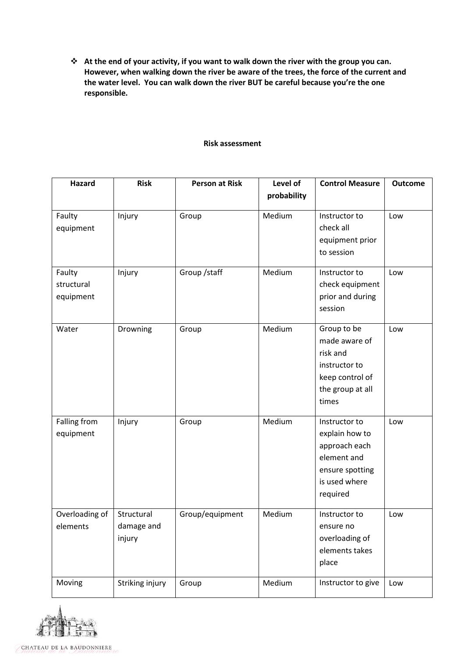**At the end of your activity, if you want to walk down the river with the group you can. However, when walking down the river be aware of the trees, the force of the current and the water level. You can walk down the river BUT be careful because you're the one responsible.** 

## **Risk assessment**

| <b>Hazard</b>  | <b>Risk</b>     | <b>Person at Risk</b> | Level of    | <b>Control Measure</b> | <b>Outcome</b> |
|----------------|-----------------|-----------------------|-------------|------------------------|----------------|
|                |                 |                       | probability |                        |                |
| Faulty         | Injury          | Group                 | Medium      | Instructor to          | Low            |
| equipment      |                 |                       |             | check all              |                |
|                |                 |                       |             | equipment prior        |                |
|                |                 |                       |             | to session             |                |
| Faulty         | Injury          | Group / staff         | Medium      | Instructor to          | Low            |
| structural     |                 |                       |             | check equipment        |                |
| equipment      |                 |                       |             | prior and during       |                |
|                |                 |                       |             | session                |                |
| Water          | Drowning        | Group                 | Medium      | Group to be            | Low            |
|                |                 |                       |             | made aware of          |                |
|                |                 |                       |             | risk and               |                |
|                |                 |                       |             | instructor to          |                |
|                |                 |                       |             | keep control of        |                |
|                |                 |                       |             | the group at all       |                |
|                |                 |                       |             | times                  |                |
| Falling from   | Injury          | Group                 | Medium      | Instructor to          | Low            |
| equipment      |                 |                       |             | explain how to         |                |
|                |                 |                       |             | approach each          |                |
|                |                 |                       |             | element and            |                |
|                |                 |                       |             | ensure spotting        |                |
|                |                 |                       |             | is used where          |                |
|                |                 |                       |             | required               |                |
| Overloading of | Structural      | Group/equipment       | Medium      | Instructor to          | Low            |
| elements       | damage and      |                       |             | ensure no              |                |
|                | injury          |                       |             | overloading of         |                |
|                |                 |                       |             | elements takes         |                |
|                |                 |                       |             | place                  |                |
| Moving         | Striking injury | Group                 | Medium      | Instructor to give     | Low            |